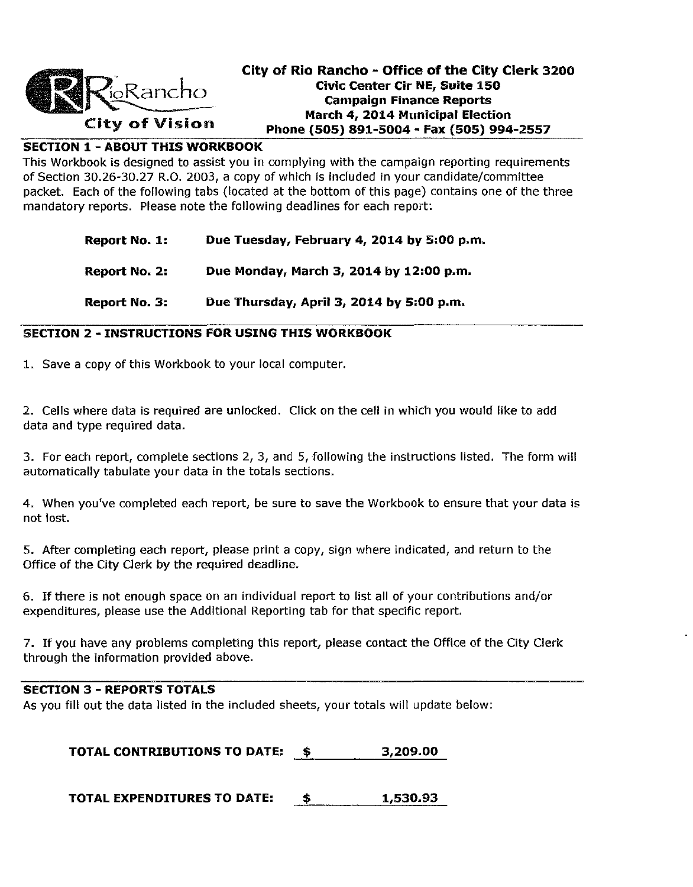

# City of Rio Rancho - Office of the City Clerk 3200 Civic Center Cir NE, Suite 150  $\alpha$ Kancho. Cho. Chocampaign Finance Reports March 4, 2014 Municipal Election<br>City of Vision Phone (505) 891-5004 - Fax (505) 994-2557

### SECTION 1 - ABOUT THIS WORKBOOK

This Workbook is designed to assist you in complying with the campaign reporting requirements of Section 30.26-30.27 R.O. 2003, a copy of which is included in your candidate/committee packet. Each of the following tabs (located at the bottom of this page) contains one of the three mandatory reports. Please note the following deadlines for each report:

| Report No. 1:        | Due Tuesday, February 4, 2014 by 5:00 p.m. |
|----------------------|--------------------------------------------|
| <b>Report No. 2:</b> | Due Monday, March 3, 2014 by 12:00 p.m.    |
| Report No. 3:        | Due Thursday, April 3, 2014 by 5:00 p.m.   |

#### SECTION 2 - INSTRUCTIONS FOR USING THIS WORKBOOK

1. Save a copy of this Workbook to your local computer.

2. Cells where data is required are unlocked. Click on the cell in which you would like to add data and type required data.

3. For each report, complete sections 2, 3, and 5, following the instructions listed. The form will automatically tabulate your data in the totals sections.

4. When you've completed each report, be sure to save the Workbook to ensure that your data is not lost.

5. After completing each report, please print a copy, sign where indicated, and return to the Office of the City Clerk by the required deadline.

6. If there is not enough space on an individual report to list all of your contributions and/or expenditures, please use the Additional Reporting tab for that specific report.

7. If you have any problems completing this report, please contact the Office of the City Clerk through the information provided above.

#### SECTION 3 - REPORTS TOTALS

As you fill out the data listed in the included sheets, your totals will update below:

TOTAL CONTRIBUTIONS TO DATE:  $\qquad$ \$ 3,209.00

TOTAL EXPENDITURES TO DATE:  $\qquad$  \$  $\qquad$  1,530.93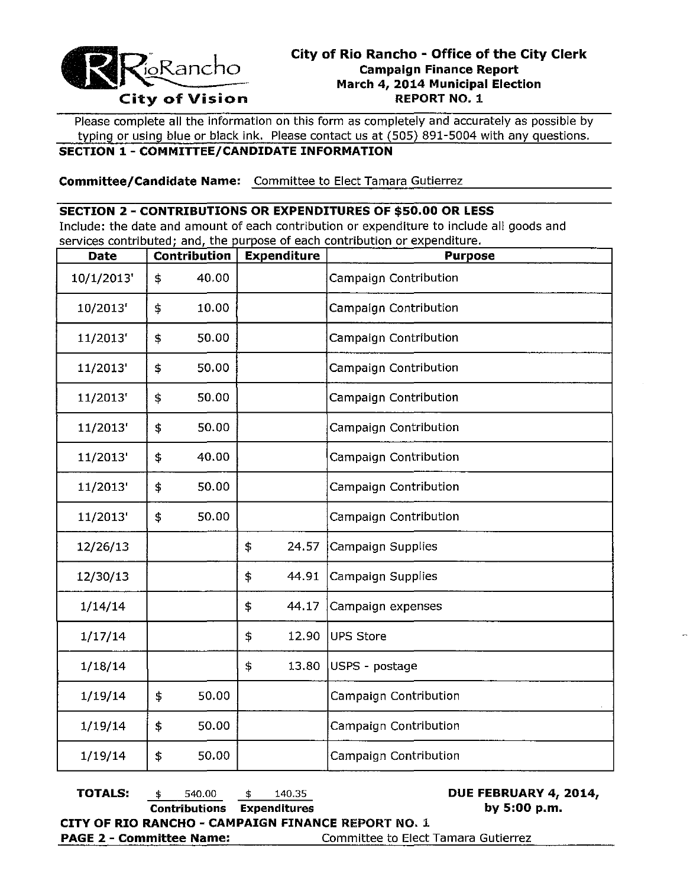

Please complete all the information on this form as completely and accurately as possible by typing or using blue or black ink. Please contact us at (505) 891-5004 with any questions.

### **SECTION 1 - COMMITTEE/CANDIDATE INFORMATION**

**Committee/Candidate Name:** Committee to Elect Tamara Gutierrez

#### **SECTION 2 - CONTRIBUTIONS OR EXPENDITURES OF \$50.00 OR LESS**

Include: the date and amount of each contribution or expenditure to include all goods and services contributed; and, the purpose of each contribution or expenditure.

| <b>Date</b> | Contribution<br><b>Expenditure</b> |       |    | <b>Purpose</b> |                              |
|-------------|------------------------------------|-------|----|----------------|------------------------------|
| 10/1/2013'  | \$                                 | 40.00 |    |                | <b>Campaign Contribution</b> |
| 10/2013'    | \$                                 | 10.00 |    |                | Campaign Contribution        |
| 11/2013'    | \$                                 | 50.00 |    |                | Campaign Contribution        |
| 11/2013'    | \$                                 | 50.00 |    |                | Campaign Contribution        |
| 11/2013'    | \$                                 | 50.00 |    |                | <b>Campaign Contribution</b> |
| 11/2013'    | \$                                 | 50.00 |    |                | Campaign Contribution        |
| 11/2013'    | \$                                 | 40.00 |    |                | Campaign Contribution        |
| 11/2013'    | \$                                 | 50.00 |    |                | Campaign Contribution        |
| 11/2013'    | \$                                 | 50.00 |    |                | Campaign Contribution        |
| 12/26/13    |                                    |       | \$ | 24.57          | Campaign Supplies            |
| 12/30/13    |                                    |       | \$ | 44.91          | Campaign Supplies            |
| 1/14/14     |                                    |       | \$ | 44.17          | Campaign expenses            |
| 1/17/14     |                                    |       | \$ | 12.90          | <b>UPS Store</b>             |
| 1/18/14     |                                    |       | \$ | 13.80          | USPS - postage               |
| 1/19/14     | \$                                 | 50.00 |    |                | Campaign Contribution        |
| 1/19/14     | \$                                 | 50.00 |    |                | Campaign Contribution        |
| 1/19/14     | \$                                 | 50.00 |    |                | Campaign Contribution        |

**TOTALS:** \$ 540.00 \$ 140.35 **DUE FEBRUARY 4, 2014, Contributions Expenditures by 5:00 p.m. CITY OF RIO RANCHO - CAMPAIGN FINANCE REPORT NO.1 PAGE 2 - Committee Name:** Committee to Elect Tamara Gutierrez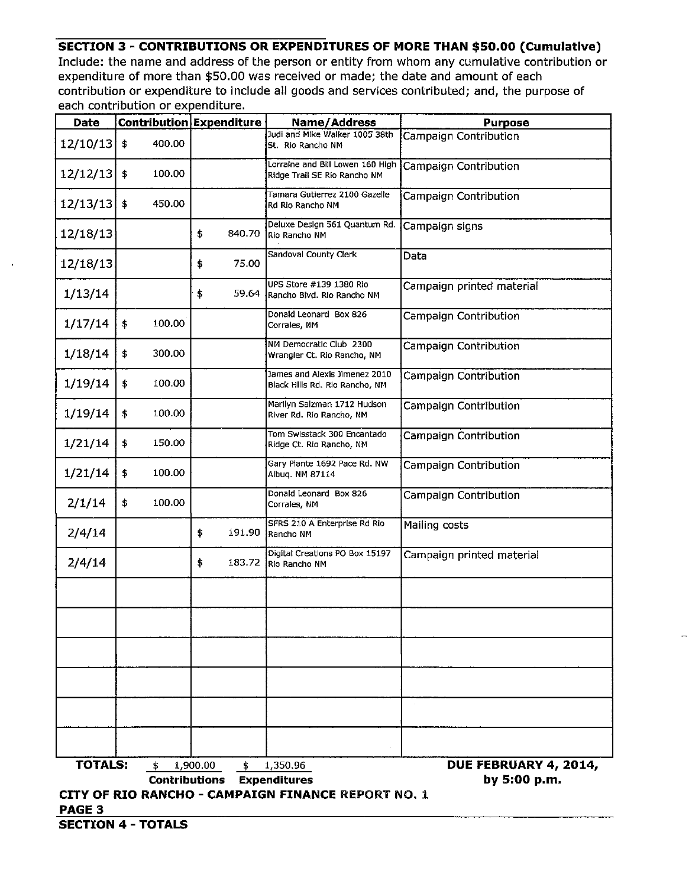## **SECTION 3 - CONTRIBUTIONS OR EXPENDITURES OF MORE THAN \$50.00 (Cumulative)**

Include: the name and address of the person or entity from whom any cumulative contribution or expenditure of more than \$50.00 was received or made; the date and amount of each contribution or expenditure to include all goods and services contributed; and, the purpose of each contribution or expenditure.

| <b>Date</b>    |                                                           | Contribution Expenditure          | Name/Address                                                     | <b>Purpose</b>            |  |  |  |  |
|----------------|-----------------------------------------------------------|-----------------------------------|------------------------------------------------------------------|---------------------------|--|--|--|--|
| 12/10/13       | 400.00<br>\$                                              |                                   | Judi and Mike Walker 1005 38th<br>St. Rio Rancho NM              | Campaign Contribution     |  |  |  |  |
| 12/12/13       | \$<br>100.00                                              |                                   | Lorraine and Bill Lowen 160 High<br>Ridge Trail SE Rio Rancho NM | Campaign Contribution     |  |  |  |  |
| 12/13/13       | \$<br>450.00                                              |                                   | Tamara Gutierrez 2100 Gazelle<br>Rd Rio Rancho NM                | Campaign Contribution     |  |  |  |  |
| 12/18/13       |                                                           | \$<br>840.70                      | Deluxe Design 561 Quantum Rd.<br>Rio Rancho NM                   | Campaign signs            |  |  |  |  |
| 12/18/13       |                                                           | \$<br>75.00                       | Sandoval County Clerk                                            | Data                      |  |  |  |  |
| 1/13/14        |                                                           | \$<br>59.64                       | UPS Store #139 1380 Rio<br>Rancho Blvd. Rio Rancho NM            | Campaign printed material |  |  |  |  |
| 1/17/14        | \$<br>100.00                                              |                                   | Donald Leonard Box 826<br>Corrales, NM                           | Campaign Contribution     |  |  |  |  |
| 1/18/14        | 300.00<br>\$                                              |                                   | NM Democratic Club 2300<br>Wrangler Ct. Rio Rancho, NM           | Campaign Contribution     |  |  |  |  |
| 1/19/14        | \$<br>100.00                                              |                                   | James and Alexis Jimenez 2010<br>Black Hills Rd. Rio Rancho, NM  | Campaign Contribution     |  |  |  |  |
| 1/19/14        | \$<br>100.00                                              |                                   | Marllyn Salzman 1712 Hudson<br>River Rd. Rio Rancho, NM          | Campaign Contribution     |  |  |  |  |
| 1/21/14        | \$<br>150.00                                              |                                   | Tom Swisstack 300 Encantado<br>Ridge Ct. Rio Rancho, NM          | Campaign Contribution     |  |  |  |  |
| 1/21/14        | \$<br>100.00                                              |                                   | Gary Plante 1692 Pace Rd. NW<br>Albuq. NM 87114                  | Campaign Contribution     |  |  |  |  |
| 2/1/14         | \$<br>100.00                                              |                                   | Donald Leonard Box 826<br>Corrales, NM                           | Campaign Contribution     |  |  |  |  |
| 2/4/14         |                                                           | \$<br>191.90                      | SFRS 210 A Enterprise Rd Rio<br>Rancho NM                        | Mailing costs             |  |  |  |  |
| 2/4/14         |                                                           | \$<br>183.72                      | Digital Creations PO Box 15197<br>Rio Rancho NM                  | Campaign printed material |  |  |  |  |
|                |                                                           |                                   |                                                                  |                           |  |  |  |  |
|                |                                                           |                                   |                                                                  |                           |  |  |  |  |
|                |                                                           |                                   |                                                                  |                           |  |  |  |  |
|                |                                                           |                                   |                                                                  |                           |  |  |  |  |
|                |                                                           |                                   |                                                                  |                           |  |  |  |  |
|                |                                                           |                                   |                                                                  |                           |  |  |  |  |
| <b>TOTALS:</b> | \$.                                                       | 1,900.00<br>$\ddagger$            | 1,350.96                                                         | DUE FEBRUARY 4, 2014,     |  |  |  |  |
|                |                                                           | <b>Contributions Expenditures</b> |                                                                  | by 5:00 p.m.              |  |  |  |  |
|                |                                                           |                                   |                                                                  |                           |  |  |  |  |
| PAGE 3         | <b>CITY OF RIO RANCHO - CAMPAIGN FINANCE REPORT NO. 1</b> |                                   |                                                                  |                           |  |  |  |  |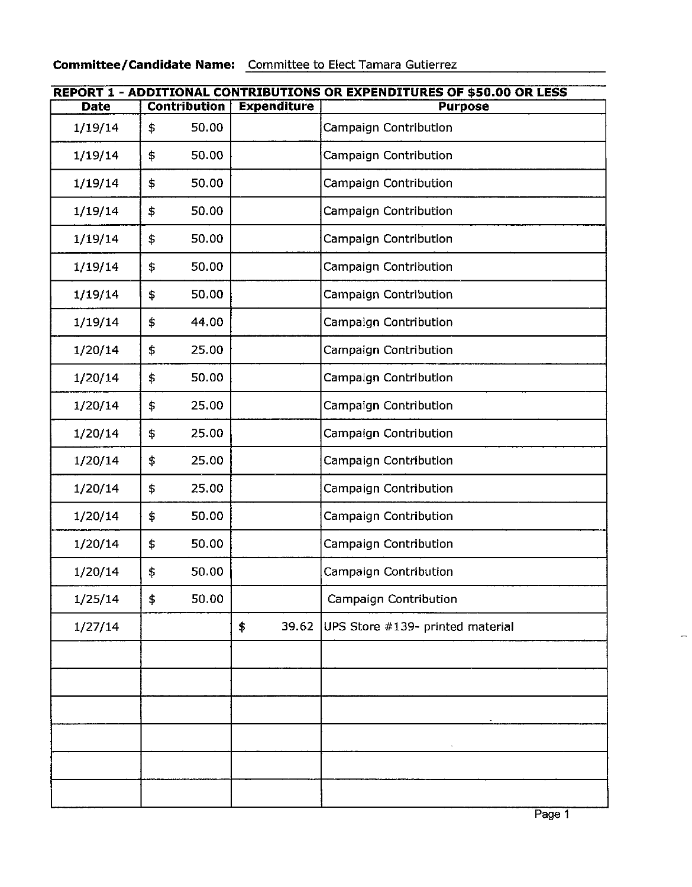# **Committee/Candidate Name:** Committee to Elect Tamara Gutierrez

| <b>REPORT 1 - ADDITIONAL CONTRIBUTIONS OR EXPENDITURES OF \$50.00 OR LESS</b> |    |                     |                    |                                  |  |  |
|-------------------------------------------------------------------------------|----|---------------------|--------------------|----------------------------------|--|--|
| <b>Date</b>                                                                   |    | <b>Contribution</b> | <b>Expenditure</b> | <b>Purpose</b>                   |  |  |
| 1/19/14                                                                       | \$ | 50.00               |                    | Campaign Contribution            |  |  |
| 1/19/14                                                                       | \$ | 50.00               |                    | Campaign Contribution            |  |  |
| 1/19/14                                                                       | \$ | 50.00               |                    | Campaign Contribution            |  |  |
| 1/19/14                                                                       | \$ | 50.00               |                    | Campaign Contribution            |  |  |
| 1/19/14                                                                       | \$ | 50.00               |                    | Campaign Contribution            |  |  |
| 1/19/14                                                                       | \$ | 50.00               |                    | Campaign Contribution            |  |  |
| 1/19/14                                                                       | \$ | 50.00               |                    | Campaign Contribution            |  |  |
| 1/19/14                                                                       | \$ | 44.00               |                    | Campaign Contribution            |  |  |
| 1/20/14                                                                       | \$ | 25.00               |                    | Campaign Contribution            |  |  |
| 1/20/14                                                                       | \$ | 50.00               |                    | Campaign Contribution            |  |  |
| 1/20/14                                                                       | \$ | 25.00               |                    | Campaign Contribution            |  |  |
| 1/20/14                                                                       | \$ | 25.00               |                    | Campaign Contribution            |  |  |
| 1/20/14                                                                       | \$ | 25.00               |                    | Campaign Contribution            |  |  |
| 1/20/14                                                                       | \$ | 25.00               |                    | Campaign Contribution            |  |  |
| 1/20/14                                                                       | \$ | 50.00               |                    | Campaign Contribution            |  |  |
| 1/20/14                                                                       | \$ | 50.00               |                    | <b>Campaign Contribution</b>     |  |  |
| 1/20/14                                                                       | \$ | 50.00               |                    | Campaign Contribution            |  |  |
| 1/25/14                                                                       | \$ | 50.00               |                    | Campaign Contribution            |  |  |
| 1/27/14                                                                       |    |                     | \$<br>39.62        | UPS Store #139- printed material |  |  |
|                                                                               |    |                     |                    |                                  |  |  |
|                                                                               |    |                     |                    |                                  |  |  |
|                                                                               |    |                     |                    |                                  |  |  |
|                                                                               |    |                     |                    |                                  |  |  |
|                                                                               |    |                     |                    |                                  |  |  |
|                                                                               |    |                     |                    |                                  |  |  |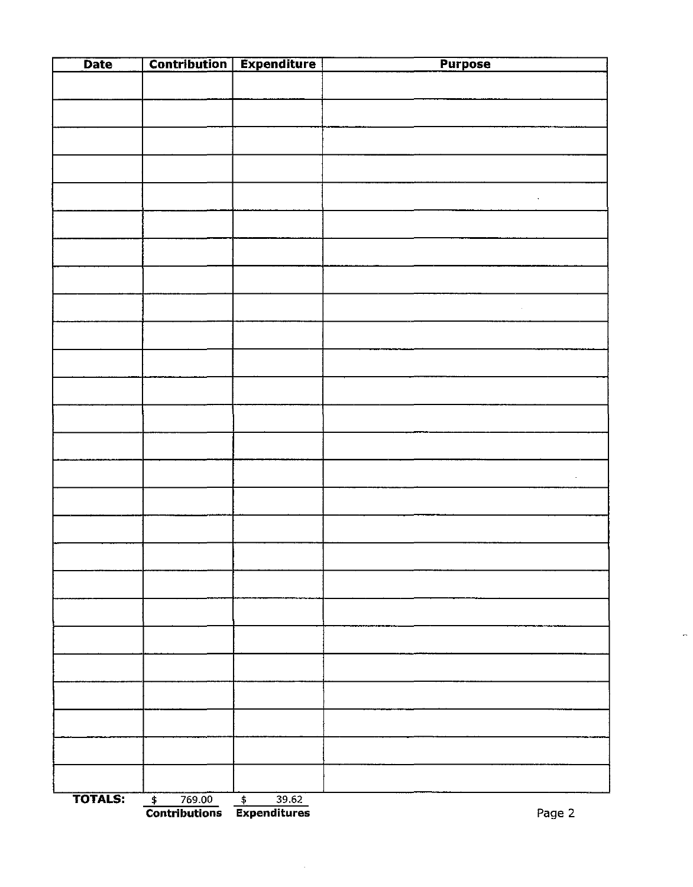| <b>Date</b>    |                                    | <b>Contribution Expenditure</b> | <b>Purpose</b> |
|----------------|------------------------------------|---------------------------------|----------------|
|                |                                    |                                 |                |
|                |                                    |                                 |                |
|                |                                    |                                 |                |
|                |                                    |                                 |                |
|                |                                    |                                 |                |
|                |                                    |                                 |                |
|                |                                    |                                 |                |
|                |                                    |                                 |                |
|                |                                    |                                 |                |
|                |                                    |                                 |                |
|                |                                    |                                 |                |
|                |                                    |                                 |                |
|                |                                    |                                 |                |
|                |                                    |                                 |                |
|                |                                    |                                 |                |
|                |                                    |                                 |                |
|                |                                    |                                 |                |
|                |                                    |                                 |                |
|                |                                    |                                 |                |
|                |                                    |                                 |                |
|                |                                    |                                 |                |
|                |                                    |                                 |                |
|                |                                    |                                 |                |
|                |                                    |                                 |                |
|                |                                    |                                 |                |
|                |                                    |                                 |                |
|                |                                    |                                 |                |
|                |                                    |                                 |                |
| <b>TOTALS:</b> | 769.00<br>$\overline{\phantom{a}}$ | $\frac{1}{\sqrt{2}}$<br>39.62   |                |

**Contributions Expenditures** Page 2

 $\sim$ 

 $\overline{a}$